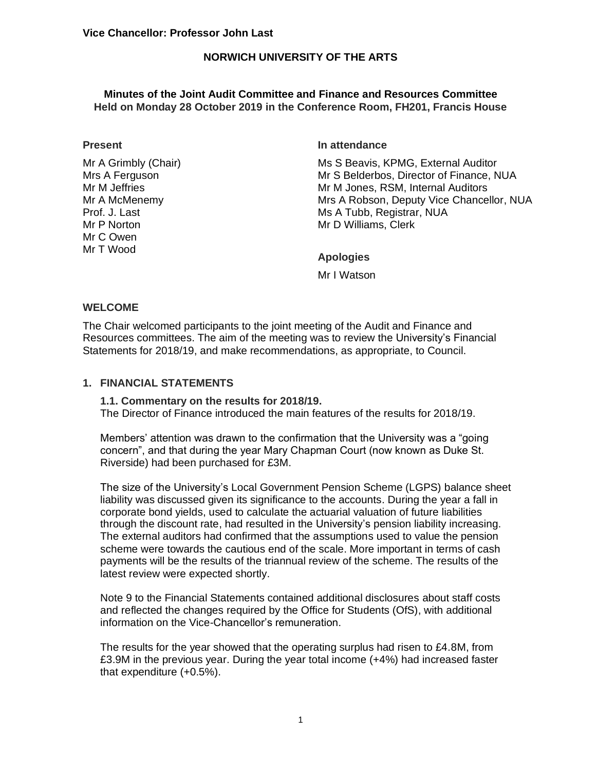### **NORWICH UNIVERSITY OF THE ARTS**

### **Minutes of the Joint Audit Committee and Finance and Resources Committee Held on Monday 28 October 2019 in the Conference Room, FH201, Francis House**

#### **Present**

Mr A Grimbly (Chair) Mrs A Ferguson Mr M Jeffries Mr A McMenemy Prof. J. Last Mr P Norton Mr C Owen Mr T Wood

#### **In attendance**

Ms S Beavis, KPMG, External Auditor Mr S Belderbos, Director of Finance, NUA Mr M Jones, RSM, Internal Auditors Mrs A Robson, Deputy Vice Chancellor, NUA Ms A Tubb, Registrar, NUA Mr D Williams, Clerk

## **Apologies**

Mr I Watson

### **WELCOME**

The Chair welcomed participants to the joint meeting of the Audit and Finance and Resources committees. The aim of the meeting was to review the University's Financial Statements for 2018/19, and make recommendations, as appropriate, to Council.

### **1. FINANCIAL STATEMENTS**

**1.1. Commentary on the results for 2018/19.** The Director of Finance introduced the main features of the results for 2018/19.

Members' attention was drawn to the confirmation that the University was a "going concern", and that during the year Mary Chapman Court (now known as Duke St. Riverside) had been purchased for £3M.

The size of the University's Local Government Pension Scheme (LGPS) balance sheet liability was discussed given its significance to the accounts. During the year a fall in corporate bond yields, used to calculate the actuarial valuation of future liabilities through the discount rate, had resulted in the University's pension liability increasing. The external auditors had confirmed that the assumptions used to value the pension scheme were towards the cautious end of the scale. More important in terms of cash payments will be the results of the triannual review of the scheme. The results of the latest review were expected shortly.

Note 9 to the Financial Statements contained additional disclosures about staff costs and reflected the changes required by the Office for Students (OfS), with additional information on the Vice-Chancellor's remuneration.

The results for the year showed that the operating surplus had risen to £4.8M, from £3.9M in the previous year. During the year total income (+4%) had increased faster that expenditure (+0.5%).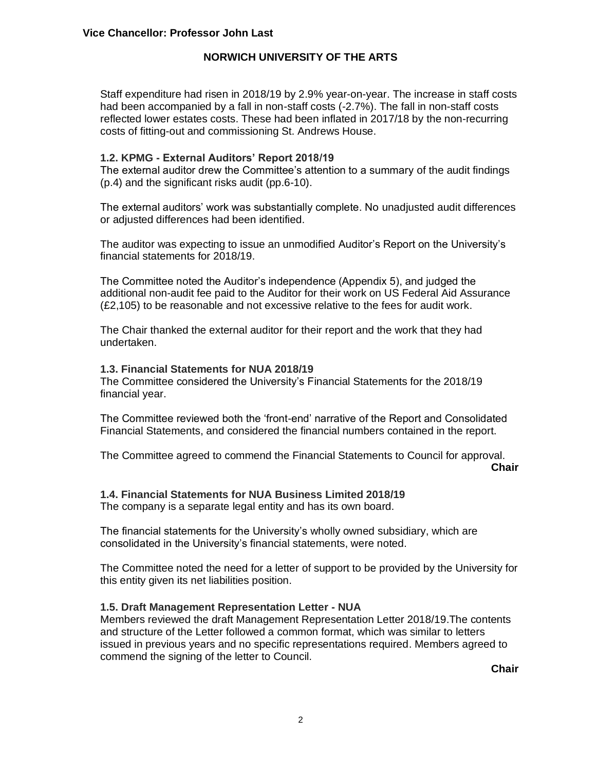# **NORWICH UNIVERSITY OF THE ARTS**

Staff expenditure had risen in 2018/19 by 2.9% year-on-year. The increase in staff costs had been accompanied by a fall in non-staff costs (-2.7%). The fall in non-staff costs reflected lower estates costs. These had been inflated in 2017/18 by the non-recurring costs of fitting-out and commissioning St. Andrews House.

### **1.2. KPMG - External Auditors' Report 2018/19**

The external auditor drew the Committee's attention to a summary of the audit findings (p.4) and the significant risks audit (pp.6-10).

The external auditors' work was substantially complete. No unadjusted audit differences or adjusted differences had been identified.

The auditor was expecting to issue an unmodified Auditor's Report on the University's financial statements for 2018/19.

The Committee noted the Auditor's independence (Appendix 5), and judged the additional non-audit fee paid to the Auditor for their work on US Federal Aid Assurance (£2,105) to be reasonable and not excessive relative to the fees for audit work.

The Chair thanked the external auditor for their report and the work that they had undertaken.

### **1.3. Financial Statements for NUA 2018/19**

The Committee considered the University's Financial Statements for the 2018/19 financial year.

The Committee reviewed both the 'front-end' narrative of the Report and Consolidated Financial Statements, and considered the financial numbers contained in the report.

The Committee agreed to commend the Financial Statements to Council for approval.

**Chair**

## **1.4. Financial Statements for NUA Business Limited 2018/19**

The company is a separate legal entity and has its own board.

The financial statements for the University's wholly owned subsidiary, which are consolidated in the University's financial statements, were noted.

The Committee noted the need for a letter of support to be provided by the University for this entity given its net liabilities position.

### **1.5. Draft Management Representation Letter - NUA**

Members reviewed the draft Management Representation Letter 2018/19.The contents and structure of the Letter followed a common format, which was similar to letters issued in previous years and no specific representations required. Members agreed to commend the signing of the letter to Council.

**Chair**